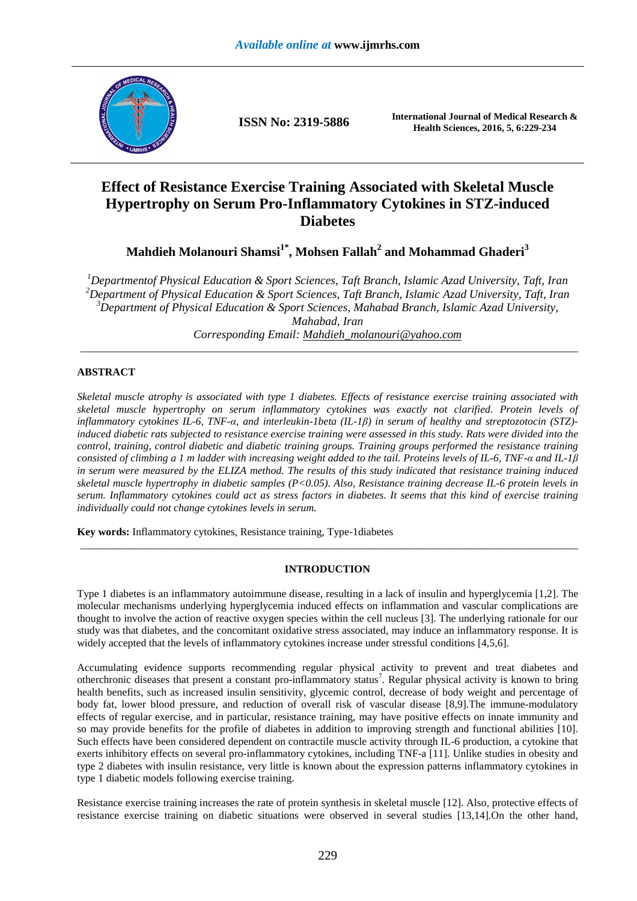

**ISSN No: 2319-5886 International Journal of Medical Research &** <br>**ISSN No: 2319-5886 International Journal of Medical Research & Health Sciences, 2016, 5, 6:229-234**

# **Effect of Resistance Exercise Training Associated with Skeletal Muscle Hypertrophy on Serum Pro-Inflammatory Cytokines in STZ-induced Diabetes**

**Mahdieh Molanouri Shamsi1\*, Mohsen Fallah<sup>2</sup> and Mohammad Ghaderi<sup>3</sup>**

*<sup>1</sup>Departmentof Physical Education & Sport Sciences, Taft Branch, Islamic Azad University, Taft, Iran <sup>2</sup>Department of Physical Education & Sport Sciences, Taft Branch, Islamic Azad University, Taft, Iran <sup>3</sup>Department of Physical Education & Sport Sciences, Mahabad Branch, Islamic Azad University, Mahabad, Iran Corresponding Email: Mahdieh\_molanouri@yahoo.com* 

\_\_\_\_\_\_\_\_\_\_\_\_\_\_\_\_\_\_\_\_\_\_\_\_\_\_\_\_\_\_\_\_\_\_\_\_\_\_\_\_\_\_\_\_\_\_\_\_\_\_\_\_\_\_\_\_\_\_\_\_\_\_\_\_\_\_\_\_\_\_\_\_\_\_\_\_\_\_\_\_\_\_\_\_\_\_\_\_\_\_\_\_\_

# **ABSTRACT**

*Skeletal muscle atrophy is associated with type 1 diabetes. Effects of resistance exercise training associated with skeletal muscle hypertrophy on serum inflammatory cytokines was exactly not clarified. Protein levels of inflammatory cytokines IL-6, TNF-α, and interleukin-1beta (IL-1β) in serum of healthy and streptozotocin (STZ) induced diabetic rats subjected to resistance exercise training were assessed in this study. Rats were divided into the control, training, control diabetic and diabetic training groups. Training groups performed the resistance training consisted of climbing a 1 m ladder with increasing weight added to the tail. Proteins levels of IL-6, TNF-α and IL-1β in serum were measured by the ELIZA method. The results of this study indicated that resistance training induced skeletal muscle hypertrophy in diabetic samples (P<0.05). Also, Resistance training decrease IL-6 protein levels in serum. Inflammatory cytokines could act as stress factors in diabetes. It seems that this kind of exercise training individually could not change cytokines levels in serum.* 

**Key words:** Inflammatory cytokines, Resistance training, Type-1diabetes

# **INTRODUCTION**

\_\_\_\_\_\_\_\_\_\_\_\_\_\_\_\_\_\_\_\_\_\_\_\_\_\_\_\_\_\_\_\_\_\_\_\_\_\_\_\_\_\_\_\_\_\_\_\_\_\_\_\_\_\_\_\_\_\_\_\_\_\_\_\_\_\_\_\_\_\_\_\_\_\_\_\_\_\_\_\_\_\_\_\_\_\_\_\_\_\_\_\_\_

Type 1 diabetes is an inflammatory autoimmune disease, resulting in a lack of insulin and hyperglycemia [1,2]. The molecular mechanisms underlying hyperglycemia induced effects on inflammation and vascular complications are thought to involve the action of reactive oxygen species within the cell nucleus [3]. The underlying rationale for our study was that diabetes, and the concomitant oxidative stress associated, may induce an inflammatory response. It is widely accepted that the levels of inflammatory cytokines increase under stressful conditions [4,5,6].

Accumulating evidence supports recommending regular physical activity to prevent and treat diabetes and otherchronic diseases that present a constant pro-inflammatory status<sup>7</sup>. Regular physical activity is known to bring health benefits, such as increased insulin sensitivity, glycemic control, decrease of body weight and percentage of body fat, lower blood pressure, and reduction of overall risk of vascular disease [8,9].The immune-modulatory effects of regular exercise, and in particular, resistance training, may have positive effects on innate immunity and so may provide benefits for the profile of diabetes in addition to improving strength and functional abilities [10]. Such effects have been considered dependent on contractile muscle activity through IL-6 production, a cytokine that exerts inhibitory effects on several pro-inflammatory cytokines, including TNF-a [11]. Unlike studies in obesity and type 2 diabetes with insulin resistance, very little is known about the expression patterns inflammatory cytokines in type 1 diabetic models following exercise training.

Resistance exercise training increases the rate of protein synthesis in skeletal muscle [12]. Also, protective effects of resistance exercise training on diabetic situations were observed in several studies [13,14].On the other hand,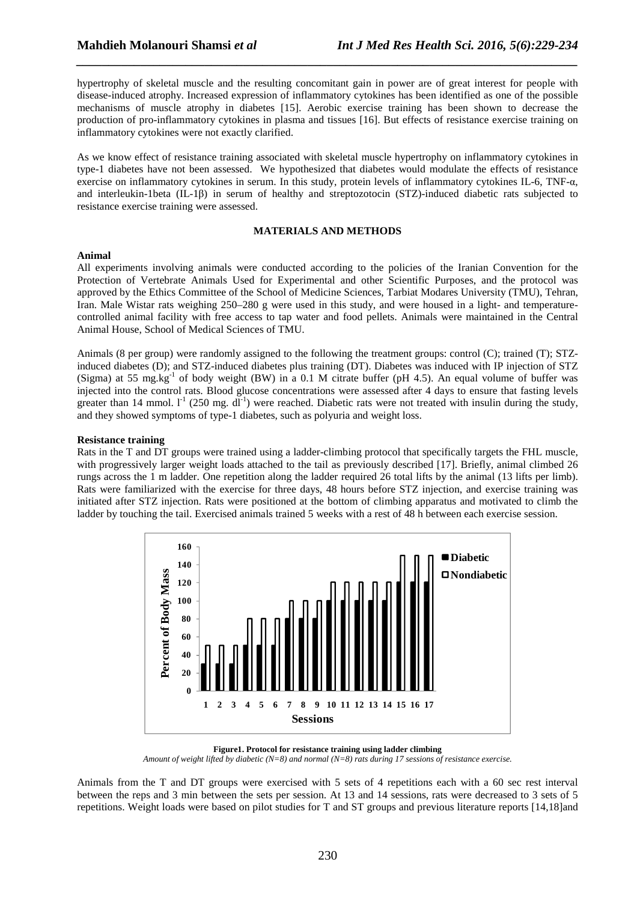hypertrophy of skeletal muscle and the resulting concomitant gain in power are of great interest for people with disease-induced atrophy. Increased expression of inflammatory cytokines has been identified as one of the possible mechanisms of muscle atrophy in diabetes [15]. Aerobic exercise training has been shown to decrease the production of pro-inflammatory cytokines in plasma and tissues [16]. But effects of resistance exercise training on inflammatory cytokines were not exactly clarified.

*\_\_\_\_\_\_\_\_\_\_\_\_\_\_\_\_\_\_\_\_\_\_\_\_\_\_\_\_\_\_\_\_\_\_\_\_\_\_\_\_\_\_\_\_\_\_\_\_\_\_\_\_\_\_\_\_\_\_\_\_\_\_\_\_\_\_\_\_\_\_\_\_\_\_\_\_\_\_*

As we know effect of resistance training associated with skeletal muscle hypertrophy on inflammatory cytokines in type-1 diabetes have not been assessed. We hypothesized that diabetes would modulate the effects of resistance exercise on inflammatory cytokines in serum. In this study, protein levels of inflammatory cytokines IL-6, TNF-α, and interleukin-1beta (IL-1β) in serum of healthy and streptozotocin (STZ)-induced diabetic rats subjected to resistance exercise training were assessed.

## **MATERIALS AND METHODS**

## **Animal**

All experiments involving animals were conducted according to the policies of the Iranian Convention for the Protection of Vertebrate Animals Used for Experimental and other Scientific Purposes, and the protocol was approved by the Ethics Committee of the School of Medicine Sciences, Tarbiat Modares University (TMU), Tehran, Iran. Male Wistar rats weighing 250–280 g were used in this study, and were housed in a light- and temperaturecontrolled animal facility with free access to tap water and food pellets. Animals were maintained in the Central Animal House, School of Medical Sciences of TMU.

Animals (8 per group) were randomly assigned to the following the treatment groups: control (C); trained (T); STZinduced diabetes (D); and STZ-induced diabetes plus training (DT). Diabetes was induced with IP injection of STZ (Sigma) at 55 mg.kg<sup>-1</sup> of body weight (BW) in a 0.1 M citrate buffer (pH 4.5). An equal volume of buffer was injected into the control rats. Blood glucose concentrations were assessed after 4 days to ensure that fasting levels greater than 14 mmol.  $l^{-1}$  (250 mg. dl<sup>-1</sup>) were reached. Diabetic rats were not treated with insulin during the study, and they showed symptoms of type-1 diabetes, such as polyuria and weight loss.

## **Resistance training**

Rats in the T and DT groups were trained using a ladder-climbing protocol that specifically targets the FHL muscle, with progressively larger weight loads attached to the tail as previously described [17]. Briefly, animal climbed 26 rungs across the 1 m ladder. One repetition along the ladder required 26 total lifts by the animal (13 lifts per limb). Rats were familiarized with the exercise for three days, 48 hours before STZ injection, and exercise training was initiated after STZ injection. Rats were positioned at the bottom of climbing apparatus and motivated to climb the ladder by touching the tail. Exercised animals trained 5 weeks with a rest of 48 h between each exercise session.



**Figure1. Protocol for resistance training using ladder climbing** 

*Amount of weight lifted by diabetic (N=8) and normal (N=8) rats during 17 sessions of resistance exercise.* 

Animals from the T and DT groups were exercised with 5 sets of 4 repetitions each with a 60 sec rest interval between the reps and 3 min between the sets per session. At 13 and 14 sessions, rats were decreased to 3 sets of 5 repetitions. Weight loads were based on pilot studies for T and ST groups and previous literature reports [14,18]and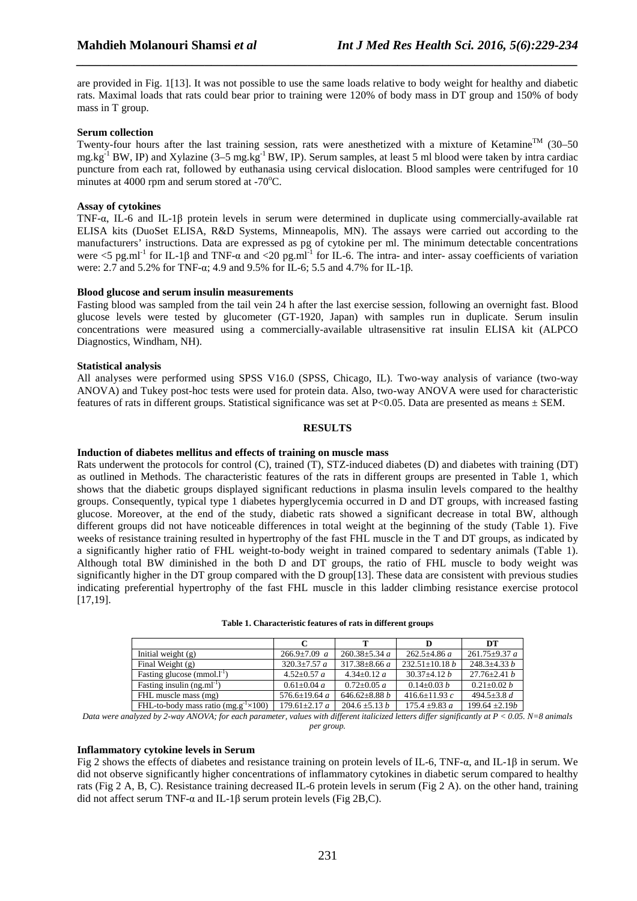are provided in Fig. 1[13]. It was not possible to use the same loads relative to body weight for healthy and diabetic rats. Maximal loads that rats could bear prior to training were 120% of body mass in DT group and 150% of body mass in T group.

*\_\_\_\_\_\_\_\_\_\_\_\_\_\_\_\_\_\_\_\_\_\_\_\_\_\_\_\_\_\_\_\_\_\_\_\_\_\_\_\_\_\_\_\_\_\_\_\_\_\_\_\_\_\_\_\_\_\_\_\_\_\_\_\_\_\_\_\_\_\_\_\_\_\_\_\_\_\_*

## **Serum collection**

Twenty-four hours after the last training session, rats were anesthetized with a mixture of Ketamine<sup>TM</sup> (30–50 mg.kg<sup>-1</sup> BW, IP) and Xylazine (3–5 mg.kg<sup>-1</sup> BW, IP). Serum samples, at least 5 ml blood were taken by intra cardiac puncture from each rat, followed by euthanasia using cervical dislocation. Blood samples were centrifuged for 10 minutes at 4000 rpm and serum stored at  $-70^{\circ}$ C.

## **Assay of cytokines**

TNF-α, IL-6 and IL-1β protein levels in serum were determined in duplicate using commercially-available rat ELISA kits (DuoSet ELISA, R&D Systems, Minneapolis, MN). The assays were carried out according to the manufacturers' instructions. Data are expressed as pg of cytokine per ml. The minimum detectable concentrations were  $\leq$  5 pg.ml<sup>-1</sup> for IL-1β and TNF- $\alpha$  and  $\leq$ 20 pg.ml<sup>-1</sup> for IL-6. The intra- and inter- assay coefficients of variation were: 2.7 and 5.2% for TNF-α; 4.9 and 9.5% for IL-6; 5.5 and 4.7% for IL-1β.

## **Blood glucose and serum insulin measurements**

Fasting blood was sampled from the tail vein 24 h after the last exercise session, following an overnight fast. Blood glucose levels were tested by glucometer (GT-1920, Japan) with samples run in duplicate. Serum insulin concentrations were measured using a commercially-available ultrasensitive rat insulin ELISA kit (ALPCO Diagnostics, Windham, NH).

## **Statistical analysis**

All analyses were performed using SPSS V16.0 (SPSS, Chicago, IL). Two-way analysis of variance (two-way ANOVA) and Tukey post-hoc tests were used for protein data. Also, two-way ANOVA were used for characteristic features of rats in different groups. Statistical significance was set at P<0.05. Data are presented as means ± SEM.

#### **RESULTS**

## **Induction of diabetes mellitus and effects of training on muscle mass**

Rats underwent the protocols for control (C), trained (T), STZ-induced diabetes (D) and diabetes with training (DT) as outlined in Methods. The characteristic features of the rats in different groups are presented in Table 1, which shows that the diabetic groups displayed significant reductions in plasma insulin levels compared to the healthy groups. Consequently, typical type 1 diabetes hyperglycemia occurred in D and DT groups, with increased fasting glucose. Moreover, at the end of the study, diabetic rats showed a significant decrease in total BW, although different groups did not have noticeable differences in total weight at the beginning of the study (Table 1). Five weeks of resistance training resulted in hypertrophy of the fast FHL muscle in the T and DT groups, as indicated by a significantly higher ratio of FHL weight-to-body weight in trained compared to sedentary animals (Table 1). Although total BW diminished in the both D and DT groups, the ratio of FHL muscle to body weight was significantly higher in the DT group compared with the D group[13]. These data are consistent with previous studies indicating preferential hypertrophy of the fast FHL muscle in this ladder climbing resistance exercise protocol [17,19].

|                                                          |                       | т                          |                      | DТ                  |
|----------------------------------------------------------|-----------------------|----------------------------|----------------------|---------------------|
| Initial weight $(g)$                                     | $266.9 \pm 7.09 \, a$ | $260.38 \pm 5.34 a$        | $262.5 + 4.86 a$     | $261.75 \pm 9.37 a$ |
| Final Weight $(g)$                                       | $320.3 \pm 7.57 a$    | $317.38 \pm 8.66 a$        | $232.51 \pm 10.18 b$ | $248.3 + 4.33h$     |
| Fasting glucose (mmol. $1^{-1}$ )                        | $4.52+0.57 a$         | $4.34+0.12 a$              | $30.37 + 4.12 h$     | $27.76 \pm 2.41 b$  |
| Fasting insulin $(ng.m-1)$                               | $0.61 \pm 0.04 a$     | $0.72 + 0.05 a$            | $0.14 + 0.03 b$      | $0.21 \pm 0.02 b$   |
| FHL muscle mass (mg)                                     | 576.6 $\pm$ 19.64 a   | 646.62 $\pm$ 8.88 <i>b</i> | 416.6 $\pm$ 11.93 c  | 494.5 $\pm$ 3.8 d   |
| FHL-to-body mass ratio (mg.g <sup>-1</sup> $\times$ 100) | $179.61 \pm 2.17 a$   | $204.6 \pm 5.13 b$         | $175.4 \pm 9.83 a$   | $199.64 \pm 2.19b$  |

*Data were analyzed by 2-way ANOVA; for each parameter, values with different italicized letters differ significantly at P < 0.05. N=8 animals per group.* 

#### **Inflammatory cytokine levels in Serum**

Fig 2 shows the effects of diabetes and resistance training on protein levels of IL-6, TNF-α, and IL-1β in serum. We did not observe significantly higher concentrations of inflammatory cytokines in diabetic serum compared to healthy rats (Fig 2 A, B, C). Resistance training decreased IL-6 protein levels in serum (Fig 2 A). on the other hand, training did not affect serum TNF- $\alpha$  and IL-1 $\beta$  serum protein levels (Fig 2B,C).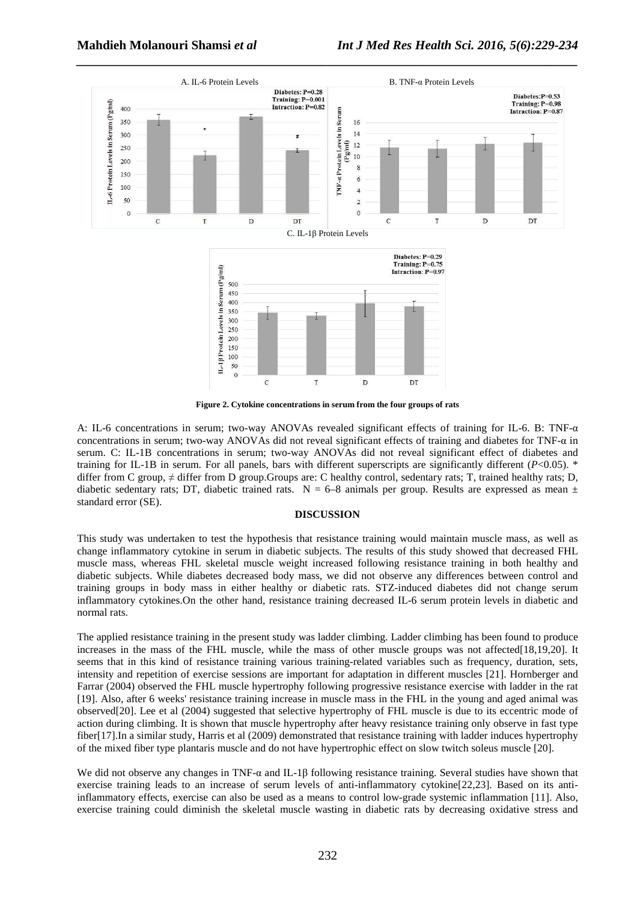

**Figure 2. Cytokine concentrations in serum from the four groups of rats** 

A: IL-6 concentrations in serum; two-way ANOVAs revealed significant effects of training for IL-6. B: TNF-α concentrations in serum; two-way ANOVAs did not reveal significant effects of training and diabetes for TNF-α in serum. C: IL-1B concentrations in serum; two-way ANOVAs did not reveal significant effect of diabetes and training for IL-1B in serum. For all panels, bars with different superscripts are significantly different (*P*<0.05). \* differ from C group,  $\neq$  differ from D group. Groups are: C healthy control, sedentary rats; T, trained healthy rats; D, diabetic sedentary rats; DT, diabetic trained rats.  $N = 6-8$  animals per group. Results are expressed as mean  $\pm$ standard error (SE).

### **DISCUSSION**

This study was undertaken to test the hypothesis that resistance training would maintain muscle mass, as well as change inflammatory cytokine in serum in diabetic subjects. The results of this study showed that decreased FHL muscle mass, whereas FHL skeletal muscle weight increased following resistance training in both healthy and diabetic subjects. While diabetes decreased body mass, we did not observe any differences between control and training groups in body mass in either healthy or diabetic rats. STZ-induced diabetes did not change serum inflammatory cytokines.On the other hand, resistance training decreased IL-6 serum protein levels in diabetic and normal rats.

The applied resistance training in the present study was ladder climbing. Ladder climbing has been found to produce increases in the mass of the FHL muscle, while the mass of other muscle groups was not affected[18,19,20]. It seems that in this kind of resistance training various training-related variables such as frequency, duration, sets, intensity and repetition of exercise sessions are important for adaptation in different muscles [21]. Hornberger and Farrar (2004) observed the FHL muscle hypertrophy following progressive resistance exercise with ladder in the rat [19]. Also, after 6 weeks' resistance training increase in muscle mass in the FHL in the young and aged animal was observed[20]. Lee et al (2004) suggested that selective hypertrophy of FHL muscle is due to its eccentric mode of action during climbing. It is shown that muscle hypertrophy after heavy resistance training only observe in fast type fiber[17].In a similar study, Harris et al (2009) demonstrated that resistance training with ladder induces hypertrophy of the mixed fiber type plantaris muscle and do not have hypertrophic effect on slow twitch soleus muscle [20].

We did not observe any changes in TNF-α and IL-1β following resistance training. Several studies have shown that exercise training leads to an increase of serum levels of anti-inflammatory cytokine[22,23]. Based on its antiinflammatory effects, exercise can also be used as a means to control low-grade systemic inflammation [11]. Also, exercise training could diminish the skeletal muscle wasting in diabetic rats by decreasing oxidative stress and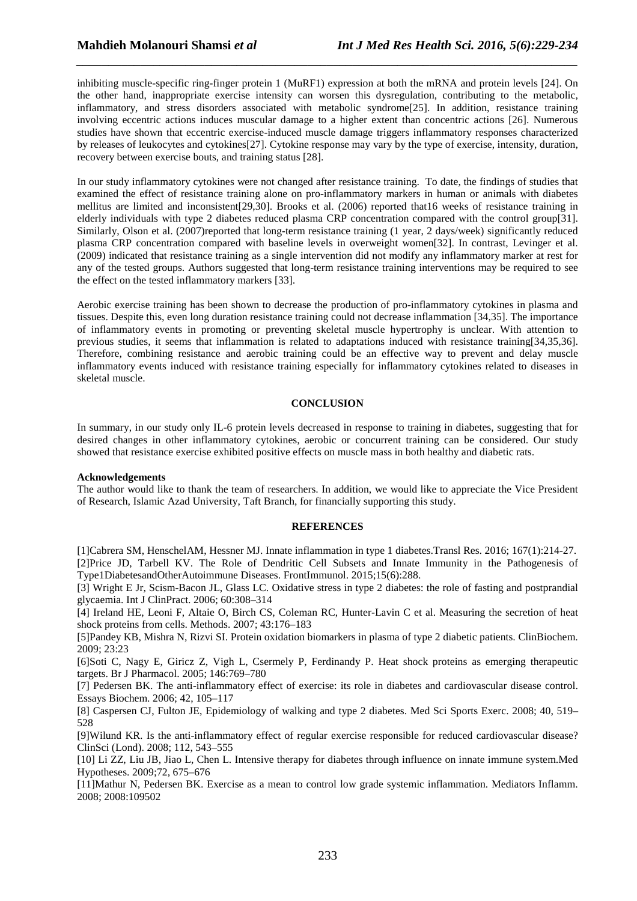inhibiting muscle-specific ring-finger protein 1 (MuRF1) expression at both the mRNA and protein levels [24]. On the other hand, inappropriate exercise intensity can worsen this dysregulation, contributing to the metabolic, inflammatory, and stress disorders associated with metabolic syndrome[25]. In addition, resistance training involving eccentric actions induces muscular damage to a higher extent than concentric actions [26]. Numerous studies have shown that eccentric exercise-induced muscle damage triggers inflammatory responses characterized by releases of leukocytes and cytokines[27]. Cytokine response may vary by the type of exercise, intensity, duration, recovery between exercise bouts, and training status [28].

*\_\_\_\_\_\_\_\_\_\_\_\_\_\_\_\_\_\_\_\_\_\_\_\_\_\_\_\_\_\_\_\_\_\_\_\_\_\_\_\_\_\_\_\_\_\_\_\_\_\_\_\_\_\_\_\_\_\_\_\_\_\_\_\_\_\_\_\_\_\_\_\_\_\_\_\_\_\_*

In our study inflammatory cytokines were not changed after resistance training. To date, the findings of studies that examined the effect of resistance training alone on pro-inflammatory markers in human or animals with diabetes mellitus are limited and inconsistent[29,30]. Brooks et al. (2006) reported that16 weeks of resistance training in elderly individuals with type 2 diabetes reduced plasma CRP concentration compared with the control group[31]. Similarly, Olson et al. (2007)reported that long-term resistance training (1 year, 2 days/week) significantly reduced plasma CRP concentration compared with baseline levels in overweight women[32]. In contrast, Levinger et al. (2009) indicated that resistance training as a single intervention did not modify any inflammatory marker at rest for any of the tested groups. Authors suggested that long-term resistance training interventions may be required to see the effect on the tested inflammatory markers [33].

Aerobic exercise training has been shown to decrease the production of pro-inflammatory cytokines in plasma and tissues. Despite this, even long duration resistance training could not decrease inflammation [34,35]. The importance of inflammatory events in promoting or preventing skeletal muscle hypertrophy is unclear. With attention to previous studies, it seems that inflammation is related to adaptations induced with resistance training[34,35,36]. Therefore, combining resistance and aerobic training could be an effective way to prevent and delay muscle inflammatory events induced with resistance training especially for inflammatory cytokines related to diseases in skeletal muscle.

### **CONCLUSION**

In summary, in our study only IL-6 protein levels decreased in response to training in diabetes, suggesting that for desired changes in other inflammatory cytokines, aerobic or concurrent training can be considered. Our study showed that resistance exercise exhibited positive effects on muscle mass in both healthy and diabetic rats.

#### **Acknowledgements**

The author would like to thank the team of researchers. In addition, we would like to appreciate the Vice President of Research, Islamic Azad University, Taft Branch, for financially supporting this study.

#### **REFERENCES**

[1]Cabrera SM, HenschelAM, Hessner MJ. Innate inflammation in type 1 diabetes.Transl Res. 2016; 167(1):214-27. [2]Price JD, Tarbell KV. The Role of Dendritic Cell Subsets and Innate Immunity in the Pathogenesis of Type1DiabetesandOtherAutoimmune Diseases. FrontImmunol. 2015;15(6):288.

[3] Wright E Jr, Scism-Bacon JL, Glass LC. Oxidative stress in type 2 diabetes: the role of fasting and postprandial glycaemia. Int J ClinPract. 2006; 60:308–314

[4] Ireland HE, Leoni F, Altaie O, Birch CS, Coleman RC, Hunter-Lavin C et al. Measuring the secretion of heat shock proteins from cells. Methods. 2007; 43:176–183

[5]Pandey KB, Mishra N, Rizvi SI. Protein oxidation biomarkers in plasma of type 2 diabetic patients. ClinBiochem. 2009; 23:23

[6]Soti C, Nagy E, Giricz Z, Vigh L, Csermely P, Ferdinandy P. Heat shock proteins as emerging therapeutic targets. Br J Pharmacol. 2005; 146:769–780

[7] Pedersen BK. The anti-inflammatory effect of exercise: its role in diabetes and cardiovascular disease control. Essays Biochem. 2006; 42, 105–117

[8] Caspersen CJ, Fulton JE, Epidemiology of walking and type 2 diabetes. Med Sci Sports Exerc. 2008; 40, 519– 528

[9]Wilund KR. Is the anti-inflammatory effect of regular exercise responsible for reduced cardiovascular disease? ClinSci (Lond). 2008; 112, 543–555

[10] Li ZZ, Liu JB, Jiao L, Chen L. Intensive therapy for diabetes through influence on innate immune system.Med Hypotheses. 2009;72, 675–676

[11]Mathur N, Pedersen BK. Exercise as a mean to control low grade systemic inflammation. Mediators Inflamm. 2008; 2008:109502